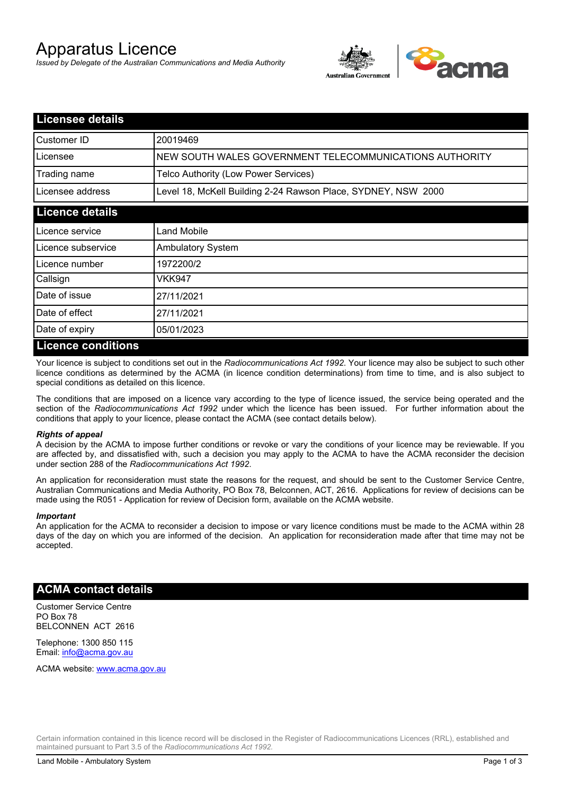# Apparatus Licence

*Issued by Delegate of the Australian Communications and Media Authority*



| <b>Licensee details</b> |                                                               |
|-------------------------|---------------------------------------------------------------|
| Customer ID             | 20019469                                                      |
| Licensee                | NEW SOUTH WALES GOVERNMENT TELECOMMUNICATIONS AUTHORITY       |
| Trading name            | Telco Authority (Low Power Services)                          |
| Licensee address        | Level 18, McKell Building 2-24 Rawson Place, SYDNEY, NSW 2000 |
| <b>Licence details</b>  |                                                               |
| l Licence service       | <b>Land Mobile</b>                                            |
| Licence subservice      | <b>Ambulatory System</b>                                      |
| Licence number          | 1972200/2                                                     |
| Callsign                | VKK947                                                        |
| Date of issue           | 27/11/2021                                                    |
| Date of effect          | 27/11/2021                                                    |
| Date of expiry          | 05/01/2023                                                    |
| Licence conditions      |                                                               |

## **Licence conditions**

Your licence is subject to conditions set out in the *Radiocommunications Act 1992*. Your licence may also be subject to such other licence conditions as determined by the ACMA (in licence condition determinations) from time to time, and is also subject to special conditions as detailed on this licence.

The conditions that are imposed on a licence vary according to the type of licence issued, the service being operated and the section of the *Radiocommunications Act 1992* under which the licence has been issued. For further information about the conditions that apply to your licence, please contact the ACMA (see contact details below).

#### *Rights of appeal*

A decision by the ACMA to impose further conditions or revoke or vary the conditions of your licence may be reviewable. If you are affected by, and dissatisfied with, such a decision you may apply to the ACMA to have the ACMA reconsider the decision under section 288 of the *Radiocommunications Act 1992*.

An application for reconsideration must state the reasons for the request, and should be sent to the Customer Service Centre, Australian Communications and Media Authority, PO Box 78, Belconnen, ACT, 2616. Applications for review of decisions can be made using the R051 - Application for review of Decision form, available on the ACMA website.

#### *Important*

An application for the ACMA to reconsider a decision to impose or vary licence conditions must be made to the ACMA within 28 days of the day on which you are informed of the decision. An application for reconsideration made after that time may not be accepted.

### **ACMA contact details**

Customer Service Centre PO Box 78 BELCONNEN ACT 2616

Telephone: 1300 850 115 Email: info@acma.gov.au

ACMA website: www.acma.gov.au

Certain information contained in this licence record will be disclosed in the Register of Radiocommunications Licences (RRL), established and maintained pursuant to Part 3.5 of the *Radiocommunications Act 1992.*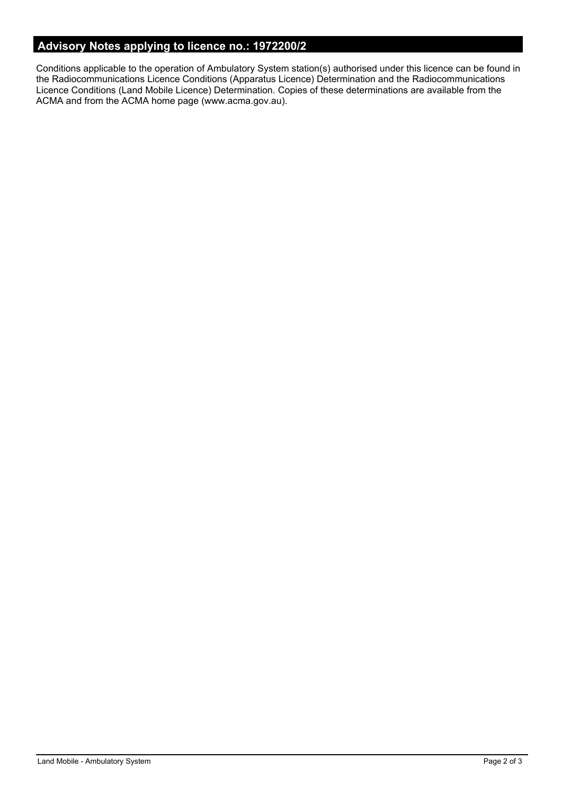# **Advisory Notes applying to licence no.: 1972200/2**

Conditions applicable to the operation of Ambulatory System station(s) authorised under this licence can be found in the Radiocommunications Licence Conditions (Apparatus Licence) Determination and the Radiocommunications Licence Conditions (Land Mobile Licence) Determination. Copies of these determinations are available from the ACMA and from the ACMA home page (www.acma.gov.au).